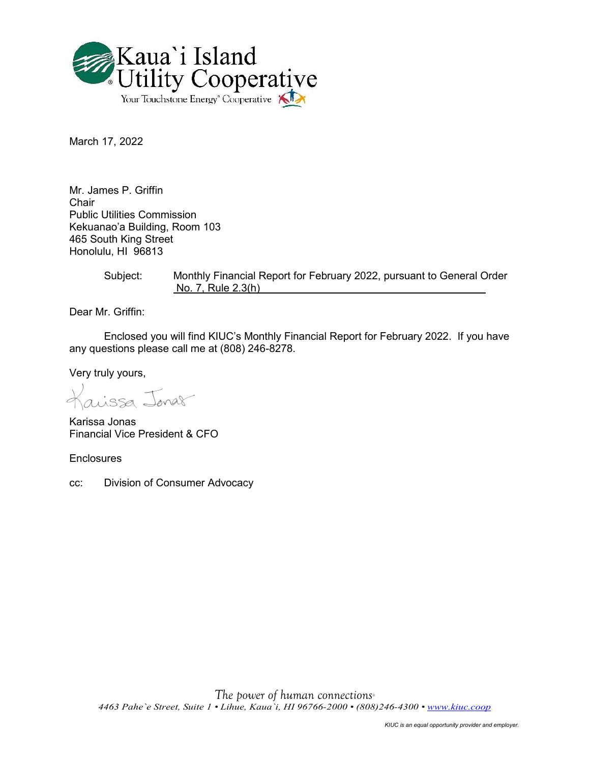

March 17, 2022

Mr. James P. Griffin Chair Public Utilities Commission Kekuanao'a Building, Room 103 465 South King Street Honolulu, HI 96813

> Subject: Monthly Financial Report for February 2022, pursuant to General Order No. 7, Rule 2.3(h)

Dear Mr. Griffin:

Enclosed you will find KIUC's Monthly Financial Report for February 2022. If you have any questions please call me at (808) 246-8278.

Very truly yours,

aissa Jonas

Karissa Jonas Financial Vice President & CFO

**Enclosures** 

cc: Division of Consumer Advocacy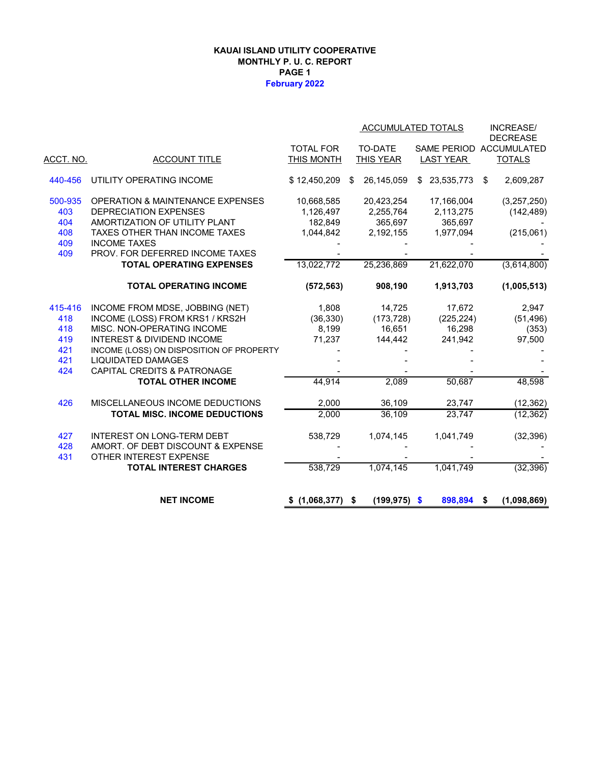#### **KAUAI ISLAND UTILITY COOPERATIVE MONTHLY P. U. C. REPORT PAGE 1 February 2022**

|                  |                                             |                  |                         | ACCUMULATED TOTALS | <b>INCREASE/</b><br><b>DECREASE</b> |
|------------------|---------------------------------------------|------------------|-------------------------|--------------------|-------------------------------------|
|                  |                                             | <b>TOTAL FOR</b> | TO-DATE                 |                    | SAME PERIOD ACCUMULATED             |
| <u>ACCT. NO.</u> | <b>ACCOUNT TITLE</b>                        | THIS MONTH       | <b>THIS YEAR</b>        | LAST YEAR          | <b>TOTALS</b>                       |
| 440-456          | UTILITY OPERATING INCOME                    | \$12,450,209     | 26,145,059<br>\$        | \$23,535,773       | 2,609,287<br>\$                     |
| 500-935          | <b>OPERATION &amp; MAINTENANCE EXPENSES</b> | 10,668,585       | 20,423,254              | 17,166,004         | (3,257,250)                         |
| 403              | <b>DEPRECIATION EXPENSES</b>                | 1,126,497        | 2,255,764               | 2,113,275          | (142, 489)                          |
| 404              | AMORTIZATION OF UTILITY PLANT               | 182,849          | 365,697                 | 365,697            |                                     |
| 408              | TAXES OTHER THAN INCOME TAXES               | 1,044,842        | 2,192,155               | 1,977,094          | (215,061)                           |
| 409              | <b>INCOME TAXES</b>                         |                  |                         |                    |                                     |
| 409              | PROV. FOR DEFERRED INCOME TAXES             |                  |                         |                    |                                     |
|                  | <b>TOTAL OPERATING EXPENSES</b>             | 13,022,772       | 25,236,869              | 21,622,070         | (3,614,800)                         |
|                  | <b>TOTAL OPERATING INCOME</b>               | (572, 563)       | 908,190                 | 1,913,703          | (1,005,513)                         |
| 415-416          | INCOME FROM MDSE, JOBBING (NET)             | 1,808            | 14,725                  | 17,672             | 2,947                               |
| 418              | INCOME (LOSS) FROM KRS1 / KRS2H             | (36, 330)        | (173, 728)              | (225, 224)         | (51, 496)                           |
| 418              | MISC. NON-OPERATING INCOME                  | 8,199            | 16,651                  | 16,298             | (353)                               |
| 419              | <b>INTEREST &amp; DIVIDEND INCOME</b>       | 71,237           | 144,442                 | 241,942            | 97,500                              |
| 421              | INCOME (LOSS) ON DISPOSITION OF PROPERTY    |                  |                         |                    |                                     |
| 421              | <b>LIQUIDATED DAMAGES</b>                   |                  |                         |                    |                                     |
| 424              | <b>CAPITAL CREDITS &amp; PATRONAGE</b>      |                  |                         |                    |                                     |
|                  | <b>TOTAL OTHER INCOME</b>                   | 44,914           | 2,089                   | 50,687             | 48,598                              |
| 426              | MISCELLANEOUS INCOME DEDUCTIONS             | 2,000            | 36,109                  | 23,747             | (12, 362)                           |
|                  | TOTAL MISC. INCOME DEDUCTIONS               | 2,000            | 36,109                  | 23,747             | (12, 362)                           |
| 427              | <b>INTEREST ON LONG-TERM DEBT</b>           | 538,729          | 1,074,145               | 1,041,749          | (32, 396)                           |
| 428              | AMORT. OF DEBT DISCOUNT & EXPENSE           |                  |                         |                    |                                     |
| 431              | OTHER INTEREST EXPENSE                      |                  |                         |                    |                                     |
|                  | <b>TOTAL INTEREST CHARGES</b>               | 538,729          | 1,074,145               | 1,041,749          | (32, 396)                           |
|                  |                                             |                  |                         |                    |                                     |
|                  | <b>NET INCOME</b>                           | \$(1,068,377)    | $(199, 975)$ \$<br>- \$ | 898,894            | (1,098,869)<br>\$                   |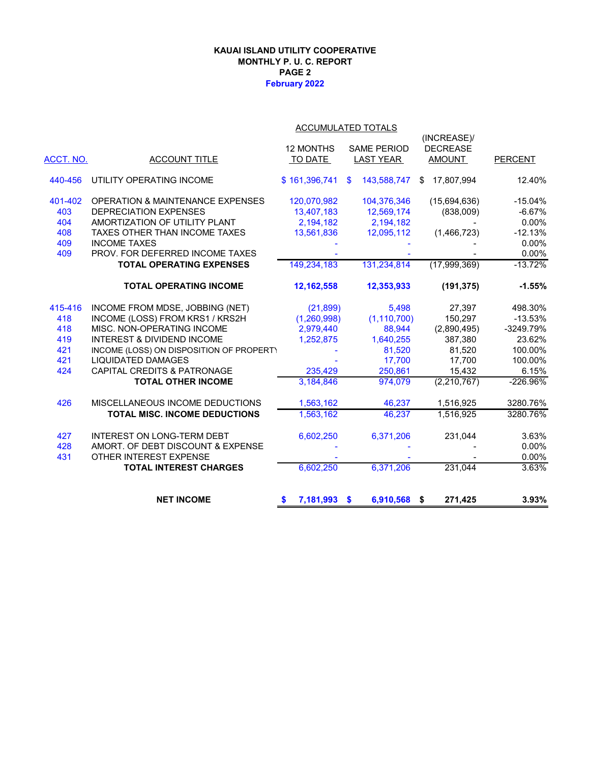#### **February 2022 KAUAI ISLAND UTILITY COOPERATIVE MONTHLY P. U. C. REPORT PAGE 2**

|           | ACCUMULATED TOTALS                          |                  |                          |                  |                |  |  |  |
|-----------|---------------------------------------------|------------------|--------------------------|------------------|----------------|--|--|--|
|           |                                             |                  |                          | (INCREASE)/      |                |  |  |  |
|           |                                             | <b>12 MONTHS</b> | <b>SAME PERIOD</b>       | <b>DECREASE</b>  |                |  |  |  |
| ACCT. NO. | <b>ACCOUNT TITLE</b>                        | TO DATE          | <b>LAST YEAR</b>         | <b>AMOUNT</b>    | <b>PERCENT</b> |  |  |  |
| 440-456   | UTILITY OPERATING INCOME                    | \$161,396,741    | 143,588,747<br>\$.       | 17,807,994<br>\$ | 12.40%         |  |  |  |
| 401-402   | <b>OPERATION &amp; MAINTENANCE EXPENSES</b> | 120,070,982      | 104,376,346              | (15,694,636)     | $-15.04%$      |  |  |  |
| 403       | <b>DEPRECIATION EXPENSES</b>                | 13,407,183       | 12,569,174               | (838,009)        | $-6.67%$       |  |  |  |
| 404       | AMORTIZATION OF UTILITY PLANT               | 2,194,182        | 2,194,182                |                  | 0.00%          |  |  |  |
| 408       | TAXES OTHER THAN INCOME TAXES               | 13,561,836       | 12,095,112               | (1,466,723)      | $-12.13%$      |  |  |  |
| 409       | <b>INCOME TAXES</b>                         |                  |                          |                  | 0.00%          |  |  |  |
| 409       | PROV. FOR DEFERRED INCOME TAXES             |                  |                          |                  | 0.00%          |  |  |  |
|           | <b>TOTAL OPERATING EXPENSES</b>             | 149,234,183      | 131,234,814              | (17,999,369)     | $-13.72%$      |  |  |  |
|           | <b>TOTAL OPERATING INCOME</b>               | 12,162,558       | 12,353,933               | (191, 375)       | $-1.55%$       |  |  |  |
| 415-416   | INCOME FROM MDSE, JOBBING (NET)             | (21, 899)        | 5,498                    | 27,397           | 498.30%        |  |  |  |
| 418       | INCOME (LOSS) FROM KRS1 / KRS2H             | (1, 260, 998)    | (1, 110, 700)            | 150,297          | $-13.53%$      |  |  |  |
| 418       | MISC. NON-OPERATING INCOME                  | 2,979,440        | 88,944                   | (2,890,495)      | -3249.79%      |  |  |  |
| 419       | <b>INTEREST &amp; DIVIDEND INCOME</b>       | 1,252,875        | 1,640,255                | 387.380          | 23.62%         |  |  |  |
| 421       | INCOME (LOSS) ON DISPOSITION OF PROPERT)    |                  | 81,520                   | 81,520           | 100.00%        |  |  |  |
| 421       | <b>LIQUIDATED DAMAGES</b>                   |                  | 17,700                   | 17,700           | 100.00%        |  |  |  |
| 424       | CAPITAL CREDITS & PATRONAGE                 | 235,429          | 250,861                  | 15,432           | 6.15%          |  |  |  |
|           | <b>TOTAL OTHER INCOME</b>                   | 3,184,846        | 974.079                  | (2, 210, 767)    | $-226.96%$     |  |  |  |
| 426       | MISCELLANEOUS INCOME DEDUCTIONS             | 1,563,162        | 46,237                   | 1,516,925        | 3280.76%       |  |  |  |
|           | TOTAL MISC. INCOME DEDUCTIONS               | 1.563.162        | 46.237                   | 1,516,925        | 3280.76%       |  |  |  |
| 427       | <b>INTEREST ON LONG-TERM DEBT</b>           | 6,602,250        | 6,371,206                | 231,044          | 3.63%          |  |  |  |
| 428       | AMORT. OF DEBT DISCOUNT & EXPENSE           |                  |                          |                  | 0.00%          |  |  |  |
| 431       | OTHER INTEREST EXPENSE                      |                  |                          |                  | 0.00%          |  |  |  |
|           | <b>TOTAL INTEREST CHARGES</b>               | 6,602,250        | 6,371,206                | 231,044          | 3.63%          |  |  |  |
|           | <b>NET INCOME</b>                           | 7,181,993<br>\$  | 6,910,568 \$<br><b>S</b> | 271,425          | 3.93%          |  |  |  |
|           |                                             |                  |                          |                  |                |  |  |  |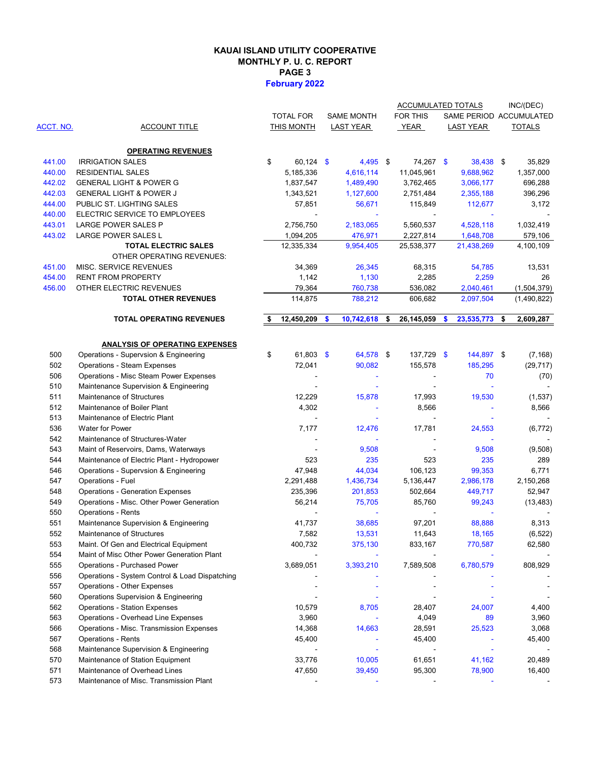#### **KAUAI ISLAND UTILITY COOPERATIVE MONTHLY P. U. C. REPORT PAGE 3 February 2022**

|                  |                                                                                      |    |                     |                   | ACCUMULATED TOTALS |                         | INC/(DEC)       |
|------------------|--------------------------------------------------------------------------------------|----|---------------------|-------------------|--------------------|-------------------------|-----------------|
|                  |                                                                                      |    | <b>TOTAL FOR</b>    | <b>SAME MONTH</b> | FOR THIS           | SAME PERIOD ACCUMULATED |                 |
| <b>ACCT. NO.</b> | <b>ACCOUNT TITLE</b>                                                                 |    | THIS MONTH          | <b>LAST YEAR</b>  | <b>YEAR</b>        | <b>LAST YEAR</b>        | <b>TOTALS</b>   |
|                  |                                                                                      |    |                     |                   |                    |                         |                 |
|                  | <b>OPERATING REVENUES</b>                                                            |    |                     |                   |                    |                         |                 |
| 441.00           | <b>IRRIGATION SALES</b>                                                              | \$ | $60,124$ \$         | $4,495$ \$        | 74,267 \$          | 38,438 \$               | 35,829          |
| 440.00           | <b>RESIDENTIAL SALES</b>                                                             |    | 5,185,336           | 4,616,114         | 11,045,961         | 9,688,962               | 1,357,000       |
| 442.02           | <b>GENERAL LIGHT &amp; POWER G</b>                                                   |    | 1,837,547           | 1,489,490         | 3,762,465          | 3,066,177               | 696,288         |
| 442.03           | <b>GENERAL LIGHT &amp; POWER J</b>                                                   |    | 1,343,521           | 1,127,600         | 2,751,484          | 2,355,188               | 396,296         |
| 444.00           | PUBLIC ST. LIGHTING SALES                                                            |    | 57,851              | 56,671            | 115,849            | 112,677                 | 3,172           |
| 440.00           | ELECTRIC SERVICE TO EMPLOYEES                                                        |    |                     |                   |                    |                         |                 |
| 443.01           | LARGE POWER SALES P                                                                  |    | 2,756,750           | 2,183,065         | 5,560,537          | 4,528,118               | 1,032,419       |
| 443.02           | LARGE POWER SALES L                                                                  |    | 1,094,205           | 476,971           | 2,227,814          | 1,648,708               | 579,106         |
|                  | <b>TOTAL ELECTRIC SALES</b><br>OTHER OPERATING REVENUES:                             |    | 12,335,334          | 9,954,405         | 25,538,377         | 21,438,269              | 4,100,109       |
| 451.00           | MISC. SERVICE REVENUES                                                               |    | 34,369              | 26,345            | 68,315             | 54,785                  | 13,531          |
| 454.00           | <b>RENT FROM PROPERTY</b>                                                            |    | 1,142               | 1,130             | 2,285              | 2,259                   | 26              |
| 456.00           | OTHER ELECTRIC REVENUES                                                              |    | 79,364              | 760,738           | 536,082            | 2,040,461               | (1,504,379)     |
|                  | <b>TOTAL OTHER REVENUES</b>                                                          |    | 114,875             | 788,212           | 606,682            | 2,097,504               | (1,490,822)     |
|                  |                                                                                      |    |                     |                   |                    |                         |                 |
|                  | <b>TOTAL OPERATING REVENUES</b>                                                      | S  | 12,450,209          | \$<br>10,742,618  | \$<br>26,145,059   | \$<br>23,535,773        | \$<br>2,609,287 |
|                  |                                                                                      |    |                     |                   |                    |                         |                 |
|                  | <b>ANALYSIS OF OPERATING EXPENSES</b>                                                | \$ |                     |                   |                    |                         |                 |
| 500              | Operations - Supervsion & Engineering                                                |    | $61,803$ \$         | 64,578 \$         | 137,729 \$         | 144,897 \$              | (7, 168)        |
| 502              | <b>Operations - Steam Expenses</b>                                                   |    | 72,041              | 90,082            | 155,578            | 185,295                 | (29, 717)       |
| 506              | <b>Operations - Misc Steam Power Expenses</b>                                        |    |                     | $\blacksquare$    |                    | 70                      | (70)            |
| 510              | Maintenance Supervision & Engineering                                                |    |                     |                   |                    |                         |                 |
| 511              | Maintenance of Structures                                                            |    | 12,229              | 15,878            | 17,993             | 19,530                  | (1,537)         |
| 512              | Maintenance of Boiler Plant                                                          |    | 4,302               | $\blacksquare$    | 8,566              |                         | 8,566           |
| 513              | Maintenance of Electric Plant                                                        |    |                     |                   |                    |                         |                 |
| 536              | <b>Water for Power</b><br>Maintenance of Structures-Water                            |    | 7,177               | 12,476            | 17,781             | 24,553                  | (6, 772)        |
| 542              |                                                                                      |    |                     |                   |                    |                         |                 |
| 543              | Maint of Reservoirs, Dams, Waterways                                                 |    |                     | 9,508             |                    | 9,508                   | (9,508)         |
| 544              | Maintenance of Electric Plant - Hydropower                                           |    | 523                 | 235               | 523                | 235                     | 289             |
| 546              | Operations - Supervsion & Engineering                                                |    | 47,948<br>2,291,488 | 44,034            | 106,123            | 99,353                  | 6,771           |
| 547              | Operations - Fuel                                                                    |    |                     | 1,436,734         | 5,136,447          | 2,986,178               | 2,150,268       |
| 548              | <b>Operations - Generation Expenses</b><br>Operations - Misc. Other Power Generation |    | 235,396             | 201,853           | 502,664            | 449,717                 | 52,947          |
| 549              | <b>Operations - Rents</b>                                                            |    | 56,214              | 75,705            | 85,760             | 99,243                  | (13, 483)       |
| 550<br>551       | Maintenance Supervision & Engineering                                                |    | 41,737              | 38,685            | 97,201             | 88,888                  | 8,313           |
| 552              | Maintenance of Structures                                                            |    | 7,582               | 13,531            | 11,643             | 18,165                  | (6, 522)        |
|                  |                                                                                      |    |                     |                   |                    |                         |                 |
| 553<br>554       | Maint. Of Gen and Electrical Equipment<br>Maint of Misc Other Power Generation Plant |    | 400,732             | 375,130           | 833,167            | 770,587                 | 62,580          |
| 555              | Operations - Purchased Power                                                         |    | 3,689,051           | 3,393,210         | 7,589,508          | 6,780,579               | 808,929         |
| 556              | Operations - System Control & Load Dispatching                                       |    |                     |                   |                    |                         |                 |
| 557              | Operations - Other Expenses                                                          |    |                     |                   |                    |                         |                 |
| 560              | Operations Supervision & Engineering                                                 |    |                     |                   |                    |                         |                 |
|                  |                                                                                      |    |                     |                   |                    |                         | 4,400           |
| 562              | <b>Operations - Station Expenses</b>                                                 |    | 10,579              | 8,705             | 28,407             | 24,007                  |                 |
| 563              | Operations - Overhead Line Expenses<br>Operations - Misc. Transmission Expenses      |    | 3,960               |                   | 4,049              | 89                      | 3,960           |
| 566              |                                                                                      |    | 14,368              | 14,663            | 28,591             | 25,523                  | 3,068           |
| 567              | <b>Operations - Rents</b>                                                            |    | 45,400              |                   | 45,400             |                         | 45,400          |
| 568<br>570       | Maintenance Supervision & Engineering<br>Maintenance of Station Equipment            |    | 33,776              | 10,005            | 61,651             | 41,162                  | 20,489          |
| 571              | Maintenance of Overhead Lines                                                        |    | 47,650              | 39,450            | 95,300             | 78,900                  | 16,400          |
| 573              | Maintenance of Misc. Transmission Plant                                              |    |                     |                   |                    |                         |                 |
|                  |                                                                                      |    |                     |                   |                    |                         |                 |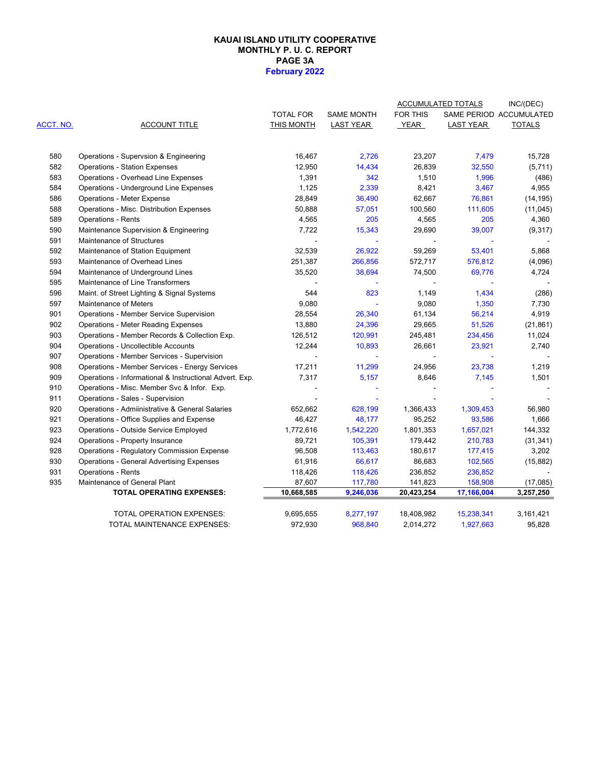#### **PAGE 3A February 2022 KAUAI ISLAND UTILITY COOPERATIVE MONTHLY P. U. C. REPORT**

|           |                                                         |                  |                   |                | ACCUMULATED TOTALS | INC/(DEC)               |
|-----------|---------------------------------------------------------|------------------|-------------------|----------------|--------------------|-------------------------|
|           |                                                         | <b>TOTAL FOR</b> | <b>SAME MONTH</b> | FOR THIS       |                    | SAME PERIOD ACCUMULATED |
| ACCT. NO. | <b>ACCOUNT TITLE</b>                                    | THIS MONTH       | <b>LAST YEAR</b>  | YEAR           | <b>LAST YEAR</b>   | <b>TOTALS</b>           |
| 580       | Operations - Supervsion & Engineering                   | 16,467           | 2,726             | 23,207         | 7,479              | 15,728                  |
| 582       | <b>Operations - Station Expenses</b>                    | 12,950           | 14,434            | 26,839         | 32,550             | (5,711)                 |
| 583       | Operations - Overhead Line Expenses                     | 1,391            | 342               | 1,510          | 1,996              | (486)                   |
| 584       | Operations - Underground Line Expenses                  | 1,125            | 2,339             | 8,421          | 3,467              | 4,955                   |
| 586       | <b>Operations - Meter Expense</b>                       | 28,849           | 36,490            | 62,667         | 76,861             | (14, 195)               |
| 588       | Operations - Misc. Distribution Expenses                | 50,888           | 57,051            | 100,560        | 111,605            | (11, 045)               |
| 589       | <b>Operations - Rents</b>                               | 4,565            | 205               | 4,565          | 205                | 4,360                   |
| 590       | Maintenance Supervision & Engineering                   | 7,722            | 15,343            | 29,690         | 39,007             | (9,317)                 |
| 591       | Maintenance of Structures                               |                  | $\omega$          | $\blacksquare$ |                    |                         |
| 592       | Maintenance of Station Equipment                        | 32,539           | 26,922            | 59,269         | 53,401             | 5,868                   |
| 593       | Maintenance of Overhead Lines                           | 251,387          | 266,856           | 572,717        | 576,812            | (4,096)                 |
| 594       | Maintenance of Underground Lines                        | 35,520           | 38,694            | 74,500         | 69,776             | 4,724                   |
| 595       | Maintenance of Line Transformers                        |                  |                   |                |                    |                         |
| 596       | Maint. of Street Lighting & Signal Systems              | 544              | 823               | 1,149          | 1,434              | (286)                   |
| 597       | Maintenance of Meters                                   | 9,080            |                   | 9,080          | 1,350              | 7,730                   |
| 901       | Operations - Member Service Supervision                 | 28,554           | 26,340            | 61,134         | 56,214             | 4,919                   |
| 902       | <b>Operations - Meter Reading Expenses</b>              | 13,880           | 24,396            | 29,665         | 51,526             | (21, 861)               |
| 903       | Operations - Member Records & Collection Exp.           | 126,512          | 120,991           | 245,481        | 234,456            | 11,024                  |
| 904       | Operations - Uncollectible Accounts                     | 12,244           | 10,893            | 26,661         | 23,921             | 2,740                   |
| 907       | Operations - Member Services - Supervision              |                  |                   |                |                    |                         |
| 908       | Operations - Member Services - Energy Services          | 17,211           | 11,299            | 24,956         | 23,738             | 1,219                   |
| 909       | Operations - Informational & Instructional Advert. Exp. | 7,317            | 5,157             | 8,646          | 7,145              | 1,501                   |
| 910       | Operations - Misc. Member Svc & Infor. Exp.             |                  |                   |                |                    |                         |
| 911       | Operations - Sales - Supervision                        |                  |                   |                |                    |                         |
| 920       | Operations - Admiinistrative & General Salaries         | 652,662          | 628,199           | 1,366,433      | 1,309,453          | 56,980                  |
| 921       | Operations - Office Supplies and Expense                | 46,427           | 48,177            | 95,252         | 93,586             | 1,666                   |
| 923       | Operations - Outside Service Employed                   | 1,772,616        | 1,542,220         | 1,801,353      | 1,657,021          | 144,332                 |
| 924       | Operations - Property Insurance                         | 89,721           | 105,391           | 179,442        | 210,783            | (31, 341)               |
| 928       | <b>Operations - Regulatory Commission Expense</b>       | 96,508           | 113,463           | 180,617        | 177,415            | 3,202                   |
| 930       | <b>Operations - General Advertising Expenses</b>        | 61,916           | 66,617            | 86,683         | 102,565            | (15, 882)               |
| 931       | <b>Operations - Rents</b>                               | 118,426          | 118,426           | 236,852        | 236,852            |                         |
| 935       | Maintenance of General Plant                            | 87,607           | 117,780           | 141,823        | 158,908            | (17,085)                |
|           | <b>TOTAL OPERATING EXPENSES:</b>                        | 10,668,585       | 9,246,036         | 20,423,254     | 17,166,004         | 3,257,250               |
|           | TOTAL OPERATION EXPENSES:                               | 9,695,655        | 8,277,197         | 18,408,982     | 15,238,341         | 3,161,421               |
|           | TOTAL MAINTENANCE EXPENSES:                             | 972,930          | 968,840           | 2,014,272      | 1,927,663          | 95,828                  |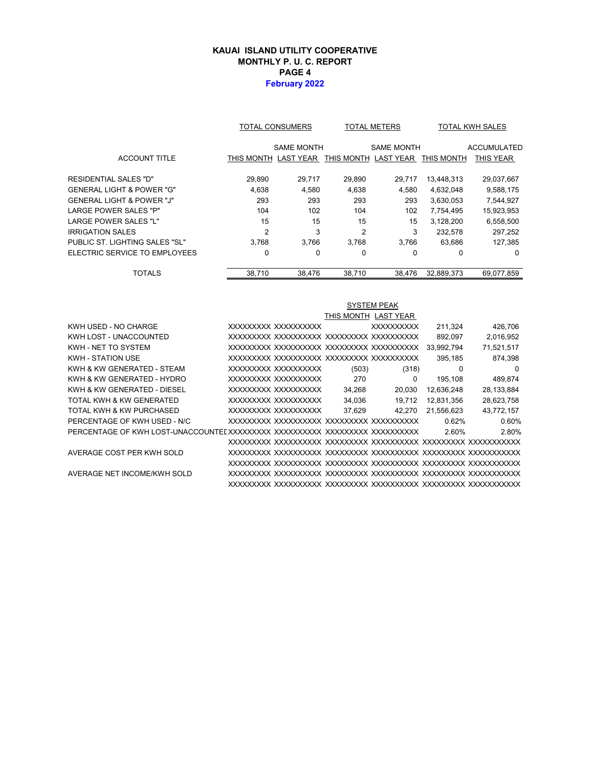#### **KAUAI ISLAND UTILITY COOPERATIVE MONTHLY P. U. C. REPORT PAGE 4 February 2022**

|                                | <b>TOTAL CONSUMERS</b> |                   |                      | <b>TOTAL METERS</b> | <b>TOTAL KWH SALES</b> |                    |  |
|--------------------------------|------------------------|-------------------|----------------------|---------------------|------------------------|--------------------|--|
|                                |                        | <b>SAME MONTH</b> |                      | <b>SAME MONTH</b>   |                        | <b>ACCUMULATED</b> |  |
| <b>ACCOUNT TITLE</b>           | THIS MONTH LAST YEAR   |                   | THIS MONTH LAST YEAR |                     | THIS MONTH             | THIS YEAR          |  |
| RESIDENTIAL SALES "D"          | 29,890                 | 29,717            | 29,890               | 29,717              | 13,448,313             | 29,037,667         |  |
| GENERAL LIGHT & POWER "G"      | 4.638                  | 4,580             | 4,638                | 4,580               | 4,632,048              | 9,588,175          |  |
| GENERAL LIGHT & POWER "J"      | 293                    | 293               | 293                  | 293                 | 3,630,053              | 7,544,927          |  |
| LARGE POWER SALES "P"          | 104                    | 102               | 104                  | 102                 | 7,754,495              | 15,923,953         |  |
| LARGE POWER SALES "L"          | 15                     | 15                | 15                   | 15                  | 3,128,200              | 6,558,500          |  |
| IRRIGATION SALES               | $\overline{2}$         | 3                 | $\overline{2}$       | 3                   | 232.578                | 297,252            |  |
| PUBLIC ST. LIGHTING SALES "SL" | 3.768                  | 3.766             | 3.768                | 3.766               | 63,686                 | 127,385            |  |
| ELECTRIC SERVICE TO EMPLOYEES  | 0                      | 0                 | $\Omega$             | 0                   | 0                      | 0                  |  |
| <b>TOTALS</b>                  | 38,710                 | 38.476            | 38.710               | 38.476              | 32.889.373             | 69.077.859         |  |

|                              |                      |        | <b>SYSTEM PEAK</b>   |            |            |
|------------------------------|----------------------|--------|----------------------|------------|------------|
|                              |                      |        | THIS MONTH LAST YEAR |            |            |
| KWH USED - NO CHARGE         | XXXXXXXXX XXXXXXXXXX |        | <b>XXXXXXXXXX</b>    | 211.324    | 426,706    |
| KWH LOST - UNACCOUNTED       |                      |        |                      | 892,097    | 2,016,952  |
| KWH - NET TO SYSTEM          |                      |        |                      | 33.992.794 | 71,521,517 |
| <b>KWH - STATION USE</b>     |                      |        |                      | 395,185    | 874,398    |
| KWH & KW GENERATED - STEAM   | XXXXXXXXX XXXXXXXXXX | (503)  | (318)                | 0          | 0          |
| KWH & KW GENERATED - HYDRO   | XXXXXXXX XXXXXXXXXX  | 270    | 0                    | 195,108    | 489,874    |
| KWH & KW GENERATED - DIESEL  | XXXXXXXX XXXXXXXXXX  | 34,268 | 20,030               | 12,636,248 | 28,133,884 |
| TOTAL KWH & KW GENERATED     | XXXXXXXX XXXXXXXXXX  | 34,036 | 19,712               | 12,831,356 | 28,623,758 |
| TOTAL KWH & KW PURCHASED     | XXXXXXXX XXXXXXXXXX  | 37.629 | 42.270               | 21.556.623 | 43,772,157 |
| PERCENTAGE OF KWH USED - N/C |                      |        |                      | 0.62%      | 0.60%      |
|                              |                      |        |                      | 2.60%      | 2.80%      |
|                              |                      |        |                      |            |            |
| AVERAGE COST PER KWH SOLD    |                      |        |                      |            |            |
|                              |                      |        |                      |            |            |
| AVERAGE NET INCOME/KWH SOLD  |                      |        |                      |            |            |
|                              |                      |        |                      |            |            |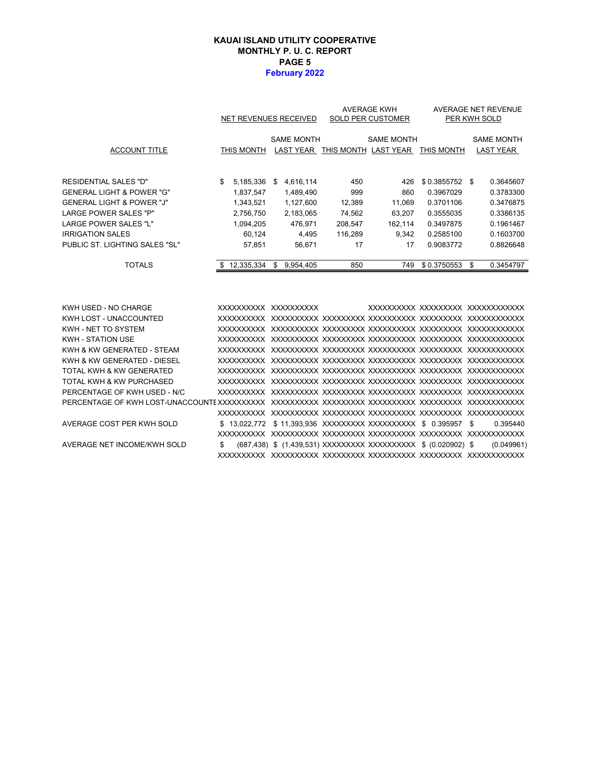#### **PAGE 5 February 2022 KAUAI ISLAND UTILITY COOPERATIVE MONTHLY P. U. C. REPORT**

|                                      | NET REVENUES RECEIVED |    |                       | <b>AVERAGE KWH</b><br><b>SOLD PER CUSTOMER</b> | AVERAGE NET REVENUE<br>PER KWH SOLD       |                 |    |                   |
|--------------------------------------|-----------------------|----|-----------------------|------------------------------------------------|-------------------------------------------|-----------------|----|-------------------|
|                                      |                       |    | <b>SAME MONTH</b>     | <b>SAME MONTH</b>                              |                                           |                 |    | <b>SAME MONTH</b> |
| <b>ACCOUNT TITLE</b>                 | THIS MONTH            |    |                       |                                                | LAST YEAR THIS MONTH LAST YEAR THIS MONTH |                 |    | <b>LAST YEAR</b>  |
| RESIDENTIAL SALES "D"                | \$<br>5,185,336       | \$ | 4,616,114             | 450                                            | 426                                       | $$0.3855752$ \$ |    | 0.3645607         |
| <b>GENERAL LIGHT &amp; POWER "G"</b> | 1,837,547             |    | 1,489,490             | 999                                            | 860                                       | 0.3967029       |    | 0.3783300         |
| <b>GENERAL LIGHT &amp; POWER "J"</b> | 1,343,521             |    | 1,127,600             | 12,389                                         | 11,069                                    | 0.3701106       |    | 0.3476875         |
| <b>LARGE POWER SALES "P"</b>         | 2,756,750             |    | 2,183,065             | 74,562                                         | 63,207                                    | 0.3555035       |    | 0.3386135         |
| <b>LARGE POWER SALES "L"</b>         | 1,094,205             |    | 476.971               | 208,547                                        | 162,114                                   | 0.3497875       |    | 0.1961467         |
| <b>IRRIGATION SALES</b>              | 60.124                |    | 4.495                 | 116.289                                        | 9.342                                     | 0.2585100       |    | 0.1603700         |
| PUBLIC ST. LIGHTING SALES "SL"       | 57,851                |    | 56,671                | 17                                             | 17                                        | 0.9083772       |    | 0.8826648         |
| <b>TOTALS</b>                        | \$12,335,334          |    | \$9,954,405           | 850                                            | 749                                       | \$0.3750553     | \$ | 0.3454797         |
|                                      |                       |    |                       |                                                |                                           |                 |    |                   |
| KWH USED - NO CHARGE                 |                       |    | XXXXXXXXXX XXXXXXXXXX |                                                | XXXXXXXXX XXXXXXXXX XXXXXXXXXXX           |                 |    |                   |
| KWH LOST - UNACCOUNTED               |                       |    |                       |                                                |                                           |                 |    |                   |
| KWH - NET TO SYSTEM                  |                       |    |                       |                                                |                                           |                 |    |                   |
| KWH - STATION USE                    |                       |    |                       |                                                |                                           |                 |    |                   |
| KWH & KW GENERATED - STEAM           |                       |    |                       |                                                |                                           |                 |    |                   |
| KWH & KW GENERATED - DIESEI          |                       |    |                       |                                                |                                           |                 |    |                   |

| KWH LOST - UNACCOUNTED       |    |                                                                |  |            |
|------------------------------|----|----------------------------------------------------------------|--|------------|
| KWH - NET TO SYSTEM          |    |                                                                |  |            |
| KWH - STATION USE            |    |                                                                |  |            |
| KWH & KW GENERATED - STEAM   |    |                                                                |  |            |
| KWH & KW GENERATED - DIESEL  |    |                                                                |  |            |
| TOTAL KWH & KW GENERATED     |    |                                                                |  |            |
| TOTAL KWH & KW PURCHASED     |    |                                                                |  |            |
| PERCENTAGE OF KWH USED - N/C |    |                                                                |  |            |
|                              |    |                                                                |  |            |
|                              |    |                                                                |  |            |
| AVERAGE COST PER KWH SOLD    |    | \$13.022.772 \$11.393.936 XXXXXXXXX XXXXXXXXXX \$0.395957 \$   |  | 0.395440   |
|                              |    |                                                                |  |            |
| AVERAGE NET INCOME/KWH SOLD  | S. | (687,438) \$ (1,439,531) XXXXXXXXX XXXXXXXXXX \$ (0.020902) \$ |  | (0.049961) |
|                              |    |                                                                |  |            |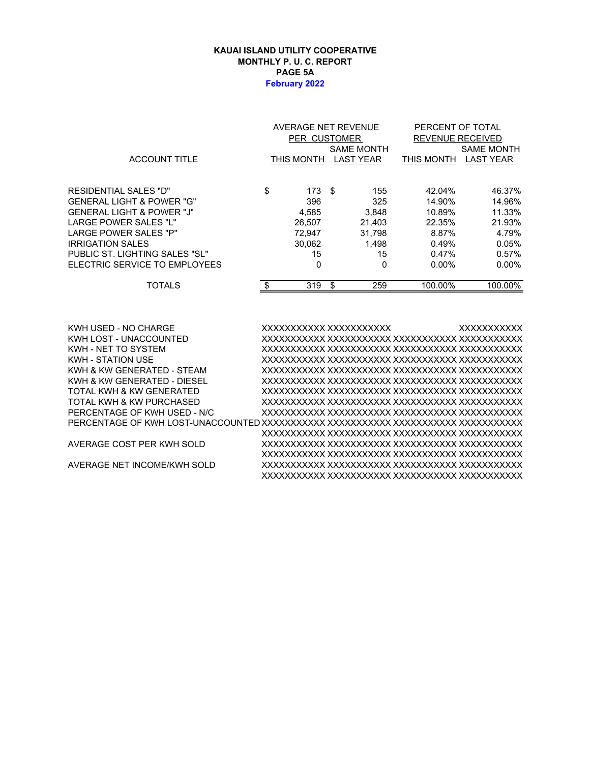#### **KAUAI ISLAND UTILITY COOPERATIVE MONTHLY P. U. C. REPORT PAGE 5A February 2022**

|                                | AVERAGE NET REVENUE |    |                         | PERCENT OF TOTAL |                   |  |  |
|--------------------------------|---------------------|----|-------------------------|------------------|-------------------|--|--|
|                                | PER CUSTOMER        |    | <b>REVENUE RECEIVED</b> |                  |                   |  |  |
|                                |                     |    | <b>SAME MONTH</b>       |                  | <b>SAME MONTH</b> |  |  |
| <b>ACCOUNT TITLE</b>           | THIS MONTH          |    | <b>LAST YEAR</b>        | THIS MONTH       | <b>LAST YEAR</b>  |  |  |
|                                |                     |    |                         |                  |                   |  |  |
| RESIDENTIAL SALES "D"          | \$<br>173S          |    | 155                     | 42.04%           | 46.37%            |  |  |
| GENERAL LIGHT & POWER "G"      | 396                 |    | 325                     | 14.90%           | 14.96%            |  |  |
| GENERAL LIGHT & POWER "J"      | 4,585               |    | 3,848                   | 10.89%           | 11.33%            |  |  |
| LARGE POWER SALES "L"          | 26,507              |    | 21,403                  | 22.35%           | 21.93%            |  |  |
| LARGE POWER SALES "P"          | 72.947              |    | 31.798                  | 8.87%            | 4.79%             |  |  |
| IRRIGATION SALES               | 30,062              |    | 1.498                   | 0.49%            | 0.05%             |  |  |
| PUBLIC ST. LIGHTING SALES "SL" | 15                  |    | 15                      | 0.47%            | 0.57%             |  |  |
| ELECTRIC SERVICE TO EMPLOYEES  | 0                   |    | 0                       | $0.00\%$         | $0.00\%$          |  |  |
| <b>TOTALS</b>                  | \$<br>319           | \$ | 259                     | 100.00%          | 100.00%           |  |  |
|                                |                     |    |                         |                  |                   |  |  |

| KWH USED - NO CHARGE         | XXXXXXXXXX XXXXXXXXXXX | <b>XXXXXXXXXXX</b> |
|------------------------------|------------------------|--------------------|
| KWH LOST - UNACCOUNTED       |                        |                    |
| KWH - NFT TO SYSTEM          |                        |                    |
| <b>KWH - STATION USE</b>     |                        |                    |
| KWH & KW GENERATED - STEAM   |                        |                    |
| KWH & KW GENERATED - DIESEL  |                        |                    |
| TOTAL KWH & KW GENERATED     |                        |                    |
| TOTAL KWH & KW PURCHASED     |                        |                    |
| PERCENTAGE OF KWH USED - N/C |                        |                    |
|                              |                        |                    |
|                              |                        |                    |
| AVERAGE COST PER KWH SOLD    |                        |                    |
|                              |                        |                    |
| AVERAGE NET INCOME/KWH SOLD  |                        |                    |
|                              |                        |                    |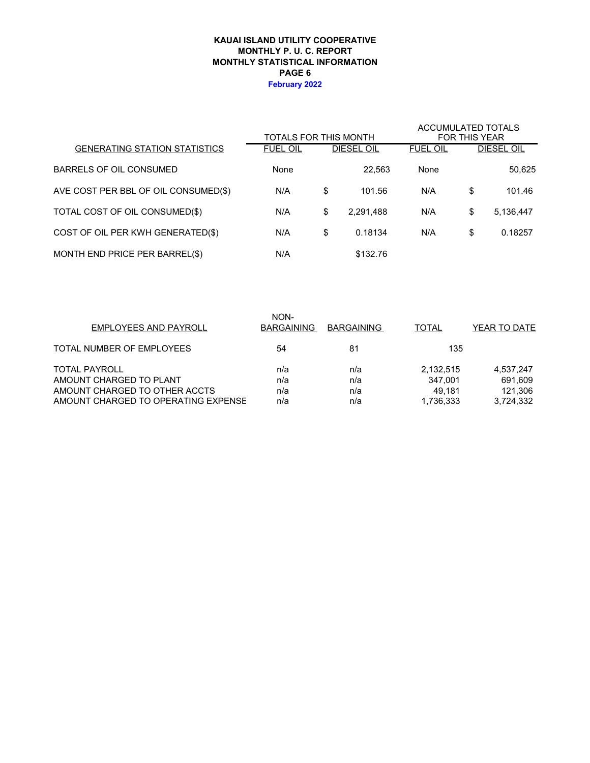#### **KAUAI ISLAND UTILITY COOPERATIVE MONTHLY STATISTICAL INFORMATION MONTHLY P. U. C. REPORT PAGE 6 February 2022**

|                                      | TOTALS FOR THIS MONTH |                 | <b>ACCUMULATED TOTALS</b><br><b>FOR THIS YEAR</b> |    |                   |  |
|--------------------------------------|-----------------------|-----------------|---------------------------------------------------|----|-------------------|--|
| <b>GENERATING STATION STATISTICS</b> | <b>FUEL OIL</b>       | DIESEL OIL      | <b>FUEL OIL</b>                                   |    | <b>DIESEL OIL</b> |  |
| BARRELS OF OIL CONSUMED              | None                  | 22.563          | None                                              |    | 50,625            |  |
| AVE COST PER BBL OF OIL CONSUMED(\$) | N/A                   | \$<br>101.56    | N/A                                               | \$ | 101.46            |  |
| TOTAL COST OF OIL CONSUMED(\$)       | N/A                   | \$<br>2,291,488 | N/A                                               | \$ | 5,136,447         |  |
| COST OF OIL PER KWH GENERATED(\$)    | N/A                   | \$<br>0.18134   | N/A                                               | \$ | 0.18257           |  |
| MONTH END PRICE PER BARREL(\$)       | N/A                   | \$132.76        |                                                   |    |                   |  |

| NON-<br><b>BARGAINING</b> | <b>BARGAINING</b> | <b>TOTAL</b> | YEAR TO DATE |
|---------------------------|-------------------|--------------|--------------|
| 54                        | 81                | 135          |              |
| n/a                       | n/a               | 2,132,515    | 4,537,247    |
| n/a                       | n/a               | 347.001      | 691,609      |
| n/a                       | n/a               | 49.181       | 121.306      |
| n/a                       | n/a               | 1,736,333    | 3,724,332    |
|                           |                   |              |              |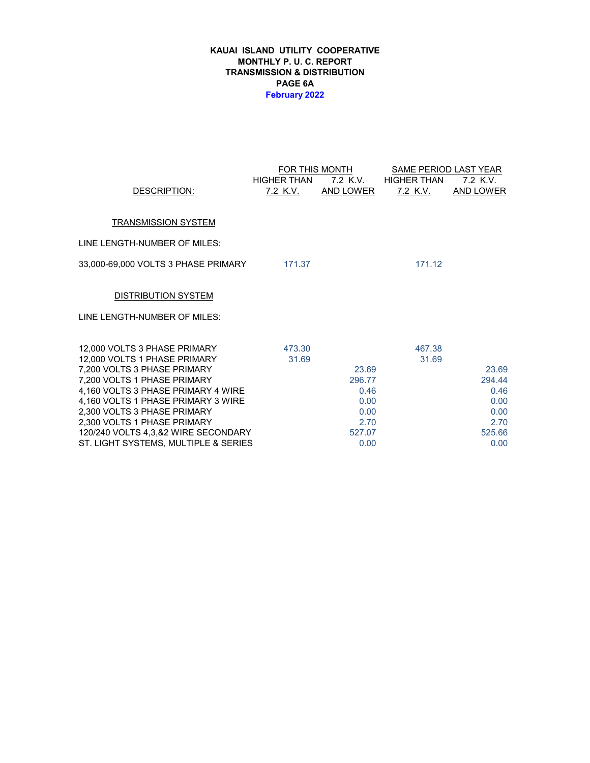#### **KAUAI ISLAND UTILITY COOPERATIVE MONTHLY P. U. C. REPORT TRANSMISSION & DISTRIBUTION PAGE 6A February 2022**

|                                                                          |                    | FOR THIS MONTH   | SAME PERIOD LAST YEAR |                  |  |  |  |  |
|--------------------------------------------------------------------------|--------------------|------------------|-----------------------|------------------|--|--|--|--|
|                                                                          | <b>HIGHER THAN</b> | 7.2 K.V.         | HIGHER THAN           | 7.2 K.V.         |  |  |  |  |
| DESCRIPTION:                                                             | <u>7.2 K.V.</u>    | <u>AND LOWER</u> | <u>7.2 K.V.</u>       | <b>AND LOWER</b> |  |  |  |  |
|                                                                          |                    |                  |                       |                  |  |  |  |  |
| <b>TRANSMISSION SYSTEM</b>                                               |                    |                  |                       |                  |  |  |  |  |
| LINE LENGTH-NUMBER OF MILES:                                             |                    |                  |                       |                  |  |  |  |  |
| 33,000-69,000 VOLTS 3 PHASE PRIMARY 171.37                               |                    |                  | 171.12                |                  |  |  |  |  |
| <b>DISTRIBUTION SYSTEM</b>                                               |                    |                  |                       |                  |  |  |  |  |
| LINE LENGTH-NUMBER OF MILES:                                             |                    |                  |                       |                  |  |  |  |  |
| 12,000 VOLTS 3 PHASE PRIMARY                                             | 473.30             |                  | 467.38                |                  |  |  |  |  |
| 12,000 VOLTS 1 PHASE PRIMARY                                             | 31.69              |                  | 31.69                 |                  |  |  |  |  |
| 7,200 VOLTS 3 PHASE PRIMARY                                              |                    | 23.69            |                       | 23.69            |  |  |  |  |
| 7,200 VOLTS 1 PHASE PRIMARY                                              |                    | 296.77           |                       | 294.44           |  |  |  |  |
| 4,160 VOLTS 3 PHASE PRIMARY 4 WIRE<br>4,160 VOLTS 1 PHASE PRIMARY 3 WIRE |                    | 0.46<br>0.00     |                       | 0.46<br>0.00     |  |  |  |  |
| 2,300 VOLTS 3 PHASE PRIMARY                                              |                    | 0.00             |                       | 0.00             |  |  |  |  |
| 2,300 VOLTS 1 PHASE PRIMARY                                              |                    | 2.70             |                       | 2.70             |  |  |  |  |
| 120/240 VOLTS 4,3,&2 WIRE SECONDARY                                      |                    | 527.07           |                       | 525.66           |  |  |  |  |
| ST. LIGHT SYSTEMS, MULTIPLE & SERIES                                     |                    | 0.00             |                       | 0.00             |  |  |  |  |
|                                                                          |                    |                  |                       |                  |  |  |  |  |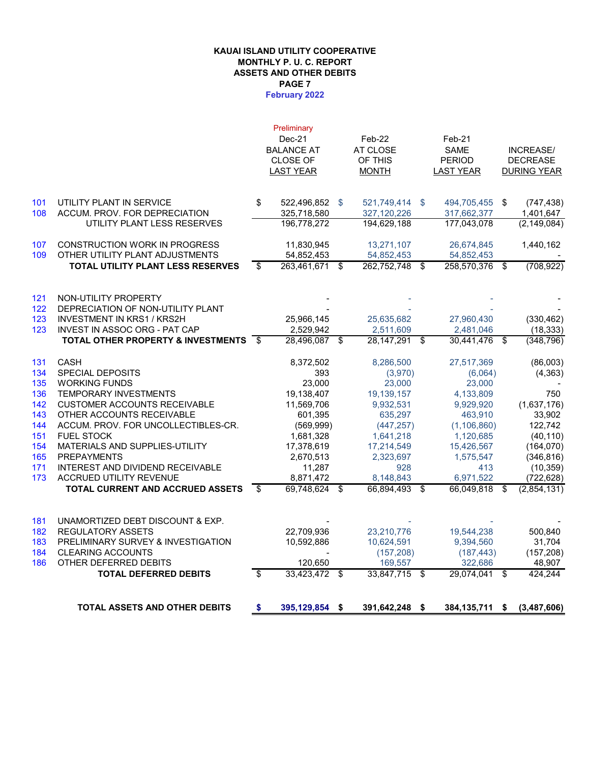### **KAUAI ISLAND UTILITY COOPERATIVE MONTHLY P. U. C. REPORT ASSETS AND OTHER DEBITS PAGE 7**

#### **February 2022**

|     |                                               |      | Preliminary       |                       |                  |                    |
|-----|-----------------------------------------------|------|-------------------|-----------------------|------------------|--------------------|
|     |                                               |      | $Dec-21$          | $Feb-22$              | $Feb-21$         |                    |
|     |                                               |      | <b>BALANCE AT</b> | AT CLOSE              | <b>SAME</b>      | <b>INCREASE/</b>   |
|     |                                               |      | <b>CLOSE OF</b>   | OF THIS               | <b>PERIOD</b>    | <b>DECREASE</b>    |
|     |                                               |      | <b>LAST YEAR</b>  | <b>MONTH</b>          | <b>LAST YEAR</b> | <b>DURING YEAR</b> |
|     |                                               |      |                   |                       |                  |                    |
| 101 | UTILITY PLANT IN SERVICE                      | \$   | 522,496,852 \$    | 521,749,414 \$        | 494,705,455 \$   | (747, 438)         |
| 108 | ACCUM. PROV. FOR DEPRECIATION                 |      | 325,718,580       | 327,120,226           | 317,662,377      | 1,401,647          |
|     | UTILITY PLANT LESS RESERVES                   |      | 196,778,272       | 194,629,188           | 177,043,078      | (2, 149, 084)      |
| 107 | <b>CONSTRUCTION WORK IN PROGRESS</b>          |      | 11,830,945        | 13,271,107            | 26,674,845       | 1,440,162          |
| 109 | OTHER UTILITY PLANT ADJUSTMENTS               |      | 54,852,453        | 54,852,453            | 54,852,453       |                    |
|     | <b>TOTAL UTILITY PLANT LESS RESERVES</b>      | \$   | 263,461,671       | \$<br>262,752,748 \$  | 258,570,376      | \$<br>(708, 922)   |
|     |                                               |      |                   |                       |                  |                    |
| 121 | NON-UTILITY PROPERTY                          |      |                   |                       |                  |                    |
| 122 | DEPRECIATION OF NON-UTILITY PLANT             |      |                   |                       |                  |                    |
| 123 | <b>INVESTMENT IN KRS1 / KRS2H</b>             |      | 25,966,145        | 25,635,682            | 27,960,430       | (330, 462)         |
| 123 | INVEST IN ASSOC ORG - PAT CAP                 |      | 2,529,942         | 2,511,609             | 2,481,046        | (18, 333)          |
|     | <b>TOTAL OTHER PROPERTY &amp; INVESTMENTS</b> | - \$ | 28,496,087        | \$<br>28, 147, 291 \$ | 30,441,476 \$    | (348,796)          |
| 131 | <b>CASH</b>                                   |      | 8,372,502         | 8,286,500             | 27,517,369       | (86,003)           |
| 134 | SPECIAL DEPOSITS                              |      | 393               | (3,970)               | (6,064)          | (4, 363)           |
| 135 | <b>WORKING FUNDS</b>                          |      | 23,000            | 23,000                | 23,000           |                    |
| 136 | <b>TEMPORARY INVESTMENTS</b>                  |      | 19,138,407        | 19,139,157            | 4,133,809        | 750                |
| 142 | <b>CUSTOMER ACCOUNTS RECEIVABLE</b>           |      | 11,569,706        | 9,932,531             | 9,929,920        | (1,637,176)        |
| 143 | OTHER ACCOUNTS RECEIVABLE                     |      | 601,395           | 635,297               | 463,910          | 33,902             |
| 144 | ACCUM. PROV. FOR UNCOLLECTIBLES-CR.           |      | (569, 999)        | (447, 257)            | (1, 106, 860)    | 122,742            |
| 151 | <b>FUEL STOCK</b>                             |      | 1,681,328         | 1,641,218             | 1,120,685        | (40, 110)          |
| 154 | MATERIALS AND SUPPLIES-UTILITY                |      | 17,378,619        | 17,214,549            | 15,426,567       | (164, 070)         |
| 165 | <b>PREPAYMENTS</b>                            |      | 2,670,513         | 2,323,697             | 1,575,547        | (346, 816)         |
| 171 | INTEREST AND DIVIDEND RECEIVABLE              |      | 11,287            | 928                   | 413              | (10, 359)          |
| 173 | <b>ACCRUED UTILITY REVENUE</b>                |      | 8,871,472         | 8,148,843             | 6,971,522        | (722, 628)         |
|     | <b>TOTAL CURRENT AND ACCRUED ASSETS</b>       | \$   | 69,748,624        | \$<br>66,894,493 \$   | 66,049,818       | \$<br>(2,854,131)  |
|     |                                               |      |                   |                       |                  |                    |
| 181 | UNAMORTIZED DEBT DISCOUNT & EXP.              |      |                   |                       |                  |                    |
| 182 | <b>REGULATORY ASSETS</b>                      |      | 22,709,936        | 23,210,776            | 19,544,238       | 500,840            |
| 183 | PRELIMINARY SURVEY & INVESTIGATION            |      | 10,592,886        | 10,624,591            | 9,394,560        | 31,704             |
| 184 | <b>CLEARING ACCOUNTS</b>                      |      |                   | (157, 208)            | (187, 443)       | (157, 208)         |
| 186 | OTHER DEFERRED DEBITS                         |      | 120,650           | 169,557               | 322,686          | 48,907             |
|     | <b>TOTAL DEFERRED DEBITS</b>                  | \$   | 33,423,472        | \$<br>33,847,715 \$   | 29,074,041       | \$<br>424.244      |
|     |                                               |      |                   |                       |                  |                    |
|     | <b>TOTAL ASSETS AND OTHER DEBITS</b>          | \$   | 395,129,854 \$    | 391,642,248 \$        | 384,135,711 \$   | (3,487,606)        |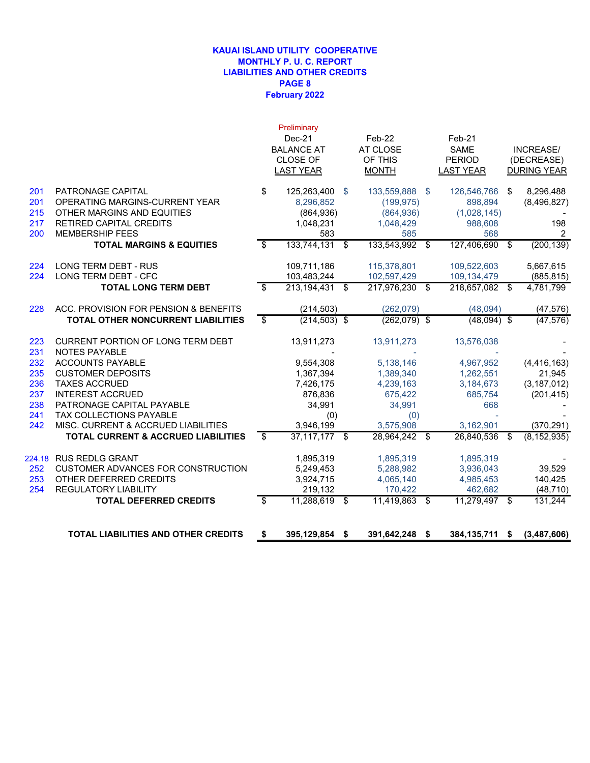#### **February 2022 KAUAI ISLAND UTILITY COOPERATIVE MONTHLY P. U. C. REPORT LIABILITIES AND OTHER CREDITS PAGE 8**

|            | <b>TOTAL LIABILITIES AND OTHER CREDITS</b>                   | \$<br>395,129,854 \$                | 391,642,248 \$             |     | 384,135,711                   | - \$ | (3,487,606)              |
|------------|--------------------------------------------------------------|-------------------------------------|----------------------------|-----|-------------------------------|------|--------------------------|
|            |                                                              |                                     |                            |     |                               |      |                          |
|            | <b>REGULATORY LIABILITY</b><br><b>TOTAL DEFERRED CREDITS</b> | \$<br>219,132<br>11,288,619 \$      | 170,422<br>11,419,863 \$   |     | 462,682<br>$11,279,497$ \$    |      | (48, 710)<br>131,244     |
| 253<br>254 | OTHER DEFERRED CREDITS                                       | 3,924,715                           | 4,065,140                  |     | 4,985,453                     |      | 140,425                  |
| 252        | <b>CUSTOMER ADVANCES FOR CONSTRUCTION</b>                    | 5,249,453                           | 5,288,982                  |     | 3,936,043                     |      | 39.529                   |
| 224.18     | <b>RUS REDLG GRANT</b>                                       | 1,895,319                           | 1,895,319                  |     | 1,895,319                     |      |                          |
|            | TOTAL CURRENT & ACCRUED LIABILITIES                          | \$                                  | 28,964,242                 | \$  | 26,840,536                    | \$   | (8, 152, 935)            |
| 242        | MISC. CURRENT & ACCRUED LIABILITIES                          | 3,946,199<br>$37,117,177$ \$        | 3,575,908                  |     | 3,162,901                     |      | (370, 291)               |
| 241        | <b>TAX COLLECTIONS PAYABLE</b>                               | (0)                                 | (0)                        |     |                               |      |                          |
| 238        | PATRONAGE CAPITAL PAYABLE                                    | 34,991                              | 34,991                     |     | 668                           |      |                          |
| 237        | <b>INTEREST ACCRUED</b>                                      | 876,836                             | 675,422                    |     | 685,754                       |      | (201, 415)               |
| 236        | <b>TAXES ACCRUED</b>                                         | 7,426,175                           | 4,239,163                  |     | 3,184,673                     |      | (3, 187, 012)            |
| 235        | <b>CUSTOMER DEPOSITS</b>                                     | 1,367,394                           | 1,389,340                  |     | 1,262,551                     |      | 21,945                   |
| 232        | <b>ACCOUNTS PAYABLE</b>                                      | 9,554,308                           | 5,138,146                  |     | 4,967,952                     |      | (4, 416, 163)            |
| 223<br>231 | CURRENT PORTION OF LONG TERM DEBT<br><b>NOTES PAYABLE</b>    | 13,911,273                          | 13,911,273                 |     | 13,576,038                    |      |                          |
|            | <b>TOTAL OTHER NONCURRENT LIABILITIES</b>                    | \$<br>$(214, 503)$ \$               | $(262,079)$ \$             |     | $(48,094)$ \$                 |      | (47, 576)                |
| 228        | ACC. PROVISION FOR PENSION & BENEFITS                        | (214, 503)                          | (262,079)                  |     | (48,094)                      |      | (47, 576)                |
|            |                                                              |                                     |                            |     |                               |      |                          |
| 224        | LONG TERM DEBT - CFC<br><b>TOTAL LONG TERM DEBT</b>          | \$<br>103,483,244<br>213,194,431 \$ | 102,597,429<br>217,976,230 | -\$ | 109,134,479<br>218,657,082 \$ |      | (885, 815)<br>4,781,799  |
| 224        | <b>LONG TERM DEBT - RUS</b>                                  | 109,711,186                         | 115,378,801                |     | 109,522,603                   |      | 5,667,615                |
|            | <b>TOTAL MARGINS &amp; EQUITIES</b>                          | \$<br>133,744,131 \$                | 133,543,992                | -\$ | 127,406,690                   | \$   | (200, 139)               |
| 200        | <b>MEMBERSHIP FEES</b>                                       | 583                                 | 585                        |     | 568                           |      | 2                        |
| 217        | RETIRED CAPITAL CREDITS                                      | 1,048,231                           | 1,048,429                  |     | 988,608                       |      | 198                      |
| 215        | OTHER MARGINS AND EQUITIES                                   | (864, 936)                          | (864, 936)                 |     | (1,028,145)                   |      |                          |
| 201<br>201 | PATRONAGE CAPITAL<br>OPERATING MARGINS-CURRENT YEAR          | \$<br>125,263,400 \$<br>8,296,852   | 133,559,888<br>(199, 975)  | -\$ | 126,546,766<br>898,894        | \$   | 8,296,488<br>(8,496,827) |
|            |                                                              | <b>LAST YEAR</b>                    | <b>MONTH</b>               |     | <b>LAST YEAR</b>              |      | <b>DURING YEAR</b>       |
|            |                                                              | CLOSE OF                            | OF THIS                    |     | <b>PERIOD</b>                 |      | (DECREASE)               |
|            |                                                              | <b>BALANCE AT</b>                   | AT CLOSE                   |     | <b>SAME</b>                   |      | <b>INCREASE/</b>         |
|            |                                                              | Dec-21                              | Feb-22                     |     | Feb-21                        |      |                          |
|            |                                                              | Preliminary                         |                            |     |                               |      |                          |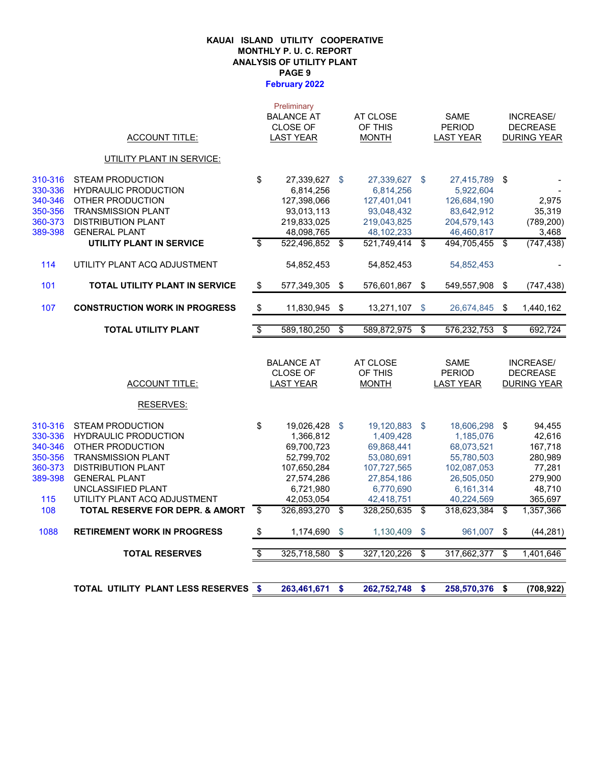#### **February 2022 KAUAI ISLAND UTILITY COOPERATIVE MONTHLY P. U. C. REPORT ANALYSIS OF UTILITY PLANT PAGE 9**

| <b>ACCOUNT TITLE:</b><br><b>UTILITY PLANT IN SERVICE:</b><br><b>STEAM PRODUCTION</b><br><b>HYDRAULIC PRODUCTION</b><br>OTHER PRODUCTION<br><b>TRANSMISSION PLANT</b><br><b>DISTRIBUTION PLANT</b><br><b>GENERAL PLANT</b><br>UTILITY PLANT IN SERVICE | \$<br>\$                                                                                                                                                                                    | <b>LAST YEAR</b><br>27,339,627<br>6,814,256<br>127,398,066<br>93,013,113<br>219,833,025 | \$                                                                                                                                                                 | <b>MONTH</b><br>27,339,627 \$<br>6,814,256 |                                                                                                                           | <b>LAST YEAR</b><br>27,415,789 \$<br>5,922,604 |                                                                                                              | <b>DURING YEAR</b>                                  |
|-------------------------------------------------------------------------------------------------------------------------------------------------------------------------------------------------------------------------------------------------------|---------------------------------------------------------------------------------------------------------------------------------------------------------------------------------------------|-----------------------------------------------------------------------------------------|--------------------------------------------------------------------------------------------------------------------------------------------------------------------|--------------------------------------------|---------------------------------------------------------------------------------------------------------------------------|------------------------------------------------|--------------------------------------------------------------------------------------------------------------|-----------------------------------------------------|
|                                                                                                                                                                                                                                                       |                                                                                                                                                                                             |                                                                                         |                                                                                                                                                                    |                                            |                                                                                                                           |                                                |                                                                                                              |                                                     |
|                                                                                                                                                                                                                                                       |                                                                                                                                                                                             |                                                                                         |                                                                                                                                                                    |                                            |                                                                                                                           |                                                |                                                                                                              |                                                     |
|                                                                                                                                                                                                                                                       |                                                                                                                                                                                             |                                                                                         |                                                                                                                                                                    |                                            |                                                                                                                           |                                                |                                                                                                              |                                                     |
|                                                                                                                                                                                                                                                       |                                                                                                                                                                                             |                                                                                         |                                                                                                                                                                    |                                            |                                                                                                                           |                                                |                                                                                                              |                                                     |
|                                                                                                                                                                                                                                                       |                                                                                                                                                                                             |                                                                                         |                                                                                                                                                                    | 127,401,041                                |                                                                                                                           | 126,684,190                                    |                                                                                                              | 2,975                                               |
|                                                                                                                                                                                                                                                       |                                                                                                                                                                                             |                                                                                         |                                                                                                                                                                    | 93,048,432                                 |                                                                                                                           | 83,642,912                                     |                                                                                                              | 35,319                                              |
|                                                                                                                                                                                                                                                       |                                                                                                                                                                                             |                                                                                         |                                                                                                                                                                    | 219,043,825                                |                                                                                                                           | 204,579,143                                    |                                                                                                              | (789, 200)                                          |
|                                                                                                                                                                                                                                                       |                                                                                                                                                                                             | 48,098,765                                                                              |                                                                                                                                                                    | 48, 102, 233                               |                                                                                                                           | 46,460,817                                     |                                                                                                              | 3,468                                               |
|                                                                                                                                                                                                                                                       |                                                                                                                                                                                             | 522,496,852                                                                             | \$                                                                                                                                                                 | 521,749,414 \$                             |                                                                                                                           | 494,705,455                                    | \$                                                                                                           | (747, 438)                                          |
| UTILITY PLANT ACQ ADJUSTMENT                                                                                                                                                                                                                          |                                                                                                                                                                                             | 54,852,453                                                                              |                                                                                                                                                                    | 54,852,453                                 |                                                                                                                           | 54,852,453                                     |                                                                                                              |                                                     |
| <b>TOTAL UTILITY PLANT IN SERVICE</b>                                                                                                                                                                                                                 | $\sqrt[6]{2}$                                                                                                                                                                               | 577,349,305                                                                             | \$                                                                                                                                                                 | 576,601,867                                | \$                                                                                                                        | 549,557,908                                    | \$                                                                                                           | (747, 438)                                          |
| <b>CONSTRUCTION WORK IN PROGRESS</b>                                                                                                                                                                                                                  | $\sqrt[6]{3}$                                                                                                                                                                               | 11,830,945                                                                              | \$                                                                                                                                                                 | 13,271,107                                 | $\mathfrak{S}$                                                                                                            |                                                | \$                                                                                                           | 1,440,162                                           |
| <b>TOTAL UTILITY PLANT</b>                                                                                                                                                                                                                            | $\overline{\mathcal{S}}$                                                                                                                                                                    | 589,180,250                                                                             | \$                                                                                                                                                                 | 589,872,975                                | \$                                                                                                                        | 576,232,753                                    | \$                                                                                                           | 692,724                                             |
|                                                                                                                                                                                                                                                       |                                                                                                                                                                                             |                                                                                         |                                                                                                                                                                    |                                            |                                                                                                                           |                                                |                                                                                                              |                                                     |
|                                                                                                                                                                                                                                                       |                                                                                                                                                                                             |                                                                                         |                                                                                                                                                                    | AT CLOSE                                   |                                                                                                                           | <b>SAME</b>                                    |                                                                                                              | INCREASE/                                           |
|                                                                                                                                                                                                                                                       |                                                                                                                                                                                             | <b>CLOSE OF</b>                                                                         |                                                                                                                                                                    | OF THIS                                    |                                                                                                                           | <b>PERIOD</b>                                  |                                                                                                              | <b>DECREASE</b>                                     |
| <b>ACCOUNT TITLE:</b>                                                                                                                                                                                                                                 |                                                                                                                                                                                             |                                                                                         |                                                                                                                                                                    | <b>MONTH</b>                               |                                                                                                                           | <b>LAST YEAR</b>                               |                                                                                                              | <b>DURING YEAR</b>                                  |
| RESERVES:                                                                                                                                                                                                                                             |                                                                                                                                                                                             |                                                                                         |                                                                                                                                                                    |                                            |                                                                                                                           |                                                |                                                                                                              |                                                     |
| <b>STEAM PRODUCTION</b>                                                                                                                                                                                                                               | \$                                                                                                                                                                                          | 19,026,428                                                                              | \$                                                                                                                                                                 |                                            |                                                                                                                           |                                                |                                                                                                              | 94,455                                              |
| <b>HYDRAULIC PRODUCTION</b>                                                                                                                                                                                                                           |                                                                                                                                                                                             |                                                                                         |                                                                                                                                                                    |                                            |                                                                                                                           |                                                |                                                                                                              | 42,616                                              |
|                                                                                                                                                                                                                                                       |                                                                                                                                                                                             |                                                                                         |                                                                                                                                                                    |                                            |                                                                                                                           |                                                |                                                                                                              | 167,718                                             |
|                                                                                                                                                                                                                                                       |                                                                                                                                                                                             |                                                                                         |                                                                                                                                                                    |                                            |                                                                                                                           |                                                |                                                                                                              | 280,989                                             |
|                                                                                                                                                                                                                                                       |                                                                                                                                                                                             |                                                                                         |                                                                                                                                                                    |                                            |                                                                                                                           |                                                |                                                                                                              | 77,281                                              |
|                                                                                                                                                                                                                                                       |                                                                                                                                                                                             |                                                                                         |                                                                                                                                                                    |                                            |                                                                                                                           |                                                |                                                                                                              | 279,900<br>48,710                                   |
|                                                                                                                                                                                                                                                       |                                                                                                                                                                                             |                                                                                         |                                                                                                                                                                    |                                            |                                                                                                                           |                                                |                                                                                                              | 365,697                                             |
|                                                                                                                                                                                                                                                       |                                                                                                                                                                                             |                                                                                         |                                                                                                                                                                    |                                            |                                                                                                                           |                                                |                                                                                                              | 1,357,366                                           |
|                                                                                                                                                                                                                                                       |                                                                                                                                                                                             |                                                                                         |                                                                                                                                                                    |                                            |                                                                                                                           |                                                |                                                                                                              |                                                     |
| <b>RETIREMENT WORK IN PROGRESS</b>                                                                                                                                                                                                                    | \$                                                                                                                                                                                          |                                                                                         | \$                                                                                                                                                                 |                                            | \$                                                                                                                        |                                                |                                                                                                              | (44, 281)                                           |
| <b>TOTAL RESERVES</b>                                                                                                                                                                                                                                 | $\overline{\mathcal{S}}$                                                                                                                                                                    | 325,718,580                                                                             | \$                                                                                                                                                                 | 327,120,226                                | \$                                                                                                                        | 317,662,377                                    | \$                                                                                                           | 1,401,646                                           |
|                                                                                                                                                                                                                                                       | OTHER PRODUCTION<br><b>TRANSMISSION PLANT</b><br><b>DISTRIBUTION PLANT</b><br><b>GENERAL PLANT</b><br>UNCLASSIFIED PLANT<br>UTILITY PLANT ACQ ADJUSTMENT<br>TOTAL RESERVE FOR DEPR. & AMORT | $\overline{\mathcal{S}}$                                                                | <b>BALANCE AT</b><br><b>LAST YEAR</b><br>1,366,812<br>69,700,723<br>52,799,702<br>107,650,284<br>27,574,286<br>6,721,980<br>42,053,054<br>326,893,270<br>1,174,690 | \$                                         | 1,409,428<br>69,868,441<br>53,080,691<br>107,727,565<br>27,854,186<br>6,770,690<br>42,418,751<br>328,250,635<br>1,130,409 | 19,120,883 \$<br>- \$                          | 1,185,076<br>68,073,521<br>55,780,503<br>102,087,053<br>26,505,050<br>6,161,314<br>40,224,569<br>318,623,384 | 26,674,845<br>18,606,298 \$<br>-\$<br>961,007<br>\$ |

**TOTAL UTILITY PLANT LESS RESERVES \$ 262,752,748 263,461,671 \$ 258,570,376 \$ \$ (708,922)**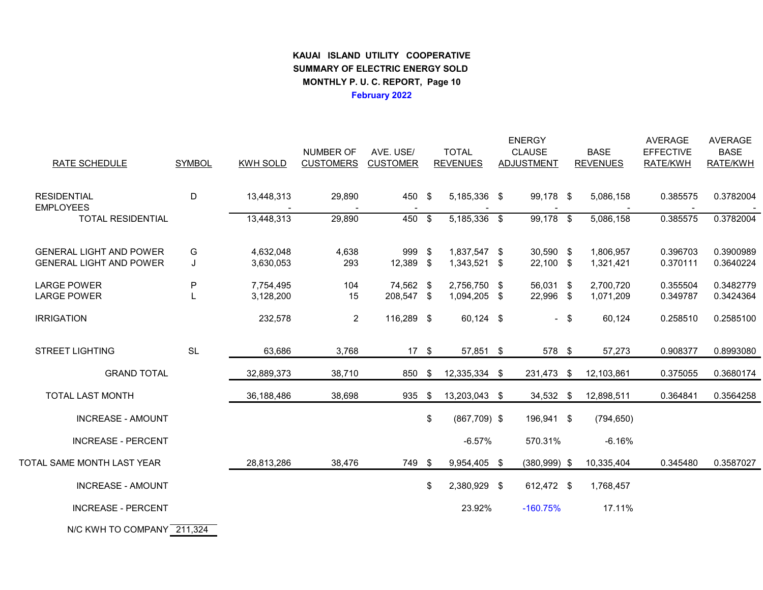## **KAUAI ISLAND UTILITY COOPERATIVE SUMMARY OF ELECTRIC ENERGY SOLD MONTHLY P. U. C. REPORT, Page 10February 2022**

|                                          |               |                        |                  |                         |      |                              | <b>ENERGY</b>          |                        | <b>AVERAGE</b>       | <b>AVERAGE</b>         |
|------------------------------------------|---------------|------------------------|------------------|-------------------------|------|------------------------------|------------------------|------------------------|----------------------|------------------------|
|                                          |               |                        | NUMBER OF        | AVE. USE/               |      | <b>TOTAL</b>                 | <b>CLAUSE</b>          | <b>BASE</b>            | <b>EFFECTIVE</b>     | <b>BASE</b>            |
| RATE SCHEDULE                            | <b>SYMBOL</b> | <b>KWH SOLD</b>        | <b>CUSTOMERS</b> | <b>CUSTOMER</b>         |      | <b>REVENUES</b>              | ADJUSTMENT             | <b>REVENUES</b>        | RATE/KWH             | RATE/KWH               |
|                                          |               |                        |                  |                         |      |                              |                        |                        |                      |                        |
| <b>RESIDENTIAL</b><br><b>EMPLOYEES</b>   | D             | 13,448,313             | 29,890           | 450 \$                  |      | 5,185,336 \$                 | 99,178 \$              | 5,086,158              | 0.385575             | 0.3782004              |
| <b>TOTAL RESIDENTIAL</b>                 |               | 13,448,313             | 29,890           | 450 \$                  |      | 5,185,336 \$                 | 99,178 \$              | 5,086,158              | 0.385575             | 0.3782004              |
|                                          |               |                        |                  |                         |      |                              |                        |                        |                      |                        |
| <b>GENERAL LIGHT AND POWER</b>           | G             | 4,632,048              | 4,638            | 999 \$                  |      | 1,837,547 \$                 | 30,590 \$              | 1,806,957              | 0.396703             | 0.3900989              |
| <b>GENERAL LIGHT AND POWER</b>           | J             | 3,630,053              | 293              | 12,389 \$               |      | 1,343,521 \$                 | 22,100 \$              | 1,321,421              | 0.370111             | 0.3640224              |
|                                          |               |                        |                  |                         |      |                              |                        |                        |                      |                        |
| <b>LARGE POWER</b><br><b>LARGE POWER</b> | P             | 7,754,495<br>3,128,200 | 104<br>15        | 74,562 \$<br>208,547 \$ |      | 2,756,750 \$<br>1,094,205 \$ | 56,031 \$<br>22,996 \$ | 2,700,720<br>1,071,209 | 0.355504<br>0.349787 | 0.3482779<br>0.3424364 |
|                                          |               |                        |                  |                         |      |                              |                        |                        |                      |                        |
| <b>IRRIGATION</b>                        |               | 232,578                | $\overline{2}$   | 116,289 \$              |      | 60,124 \$                    | $-$ \$                 | 60,124                 | 0.258510             | 0.2585100              |
|                                          |               |                        |                  |                         |      |                              |                        |                        |                      |                        |
| <b>STREET LIGHTING</b>                   | <b>SL</b>     | 63,686                 | 3,768            | $17 \quad$              |      | 57,851 \$                    | 578 \$                 | 57,273                 | 0.908377             | 0.8993080              |
|                                          |               |                        |                  |                         |      |                              |                        |                        |                      |                        |
| <b>GRAND TOTAL</b>                       |               | 32,889,373             | 38,710           | 850                     | \$   | 12,335,334 \$                | 231,473 \$             | 12,103,861             | 0.375055             | 0.3680174              |
| <b>TOTAL LAST MONTH</b>                  |               | 36,188,486             | 38,698           | 935                     | - \$ | 13,203,043 \$                | 34,532 \$              | 12,898,511             | 0.364841             | 0.3564258              |
| <b>INCREASE - AMOUNT</b>                 |               |                        |                  |                         | \$   | $(867,709)$ \$               | 196,941 \$             | (794, 650)             |                      |                        |
|                                          |               |                        |                  |                         |      |                              |                        |                        |                      |                        |
| <b>INCREASE - PERCENT</b>                |               |                        |                  |                         |      | $-6.57%$                     | 570.31%                | $-6.16%$               |                      |                        |
| TOTAL SAME MONTH LAST YEAR               |               | 28,813,286             | 38,476           | 749 \$                  |      | 9,954,405 \$                 | $(380,999)$ \$         | 10,335,404             | 0.345480             | 0.3587027              |
| <b>INCREASE - AMOUNT</b>                 |               |                        |                  |                         | \$   | 2,380,929 \$                 | 612,472 \$             | 1,768,457              |                      |                        |
| <b>INCREASE - PERCENT</b>                |               |                        |                  |                         |      | 23.92%                       | $-160.75%$             | 17.11%                 |                      |                        |
|                                          |               |                        |                  |                         |      |                              |                        |                        |                      |                        |
| N/C KWH TO COMPANY 211,324               |               |                        |                  |                         |      |                              |                        |                        |                      |                        |